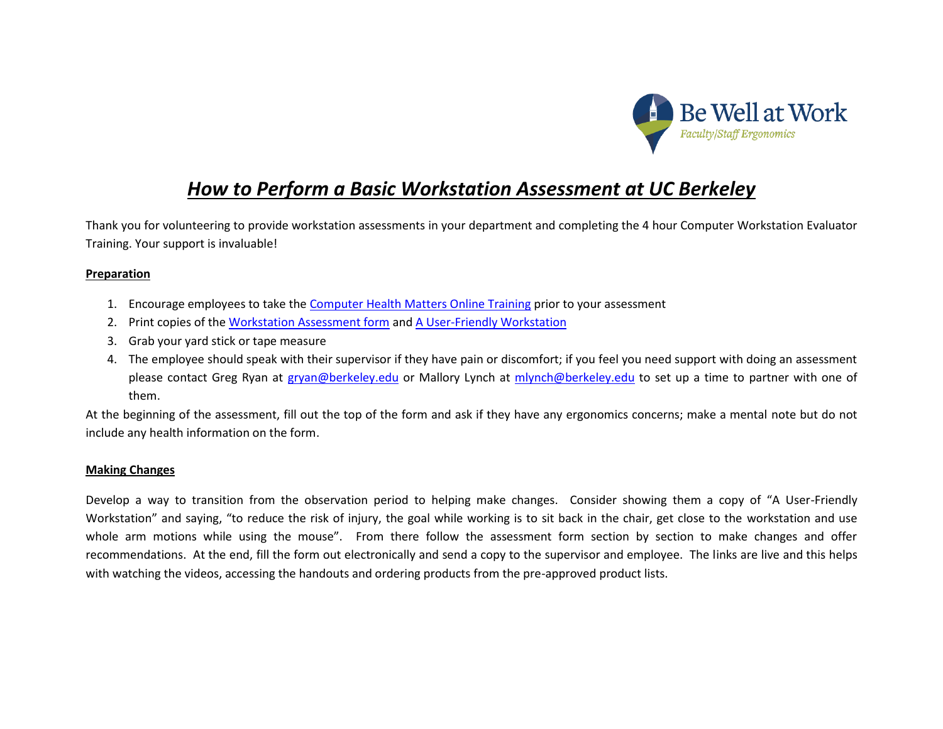

## *How to Perform a Basic Workstation Assessment at UC Berkeley*

Thank you for volunteering to provide workstation assessments in your department and completing the 4 hour Computer Workstation Evaluator Training. Your support is invaluable!

## **Preparation**

- 1. Encourage employees to take the [Computer Health Matters Online Training](https://uhs.berkeley.edu/facstaff/ergonomics/classes-workshops) prior to your assessment
- 2. Print copies of the [Workstation Assessment form](https://uhs.berkeley.edu/sites/default/files/ergoevalform18.pdf) and [A User-Friendly Workstation](https://uhs.berkeley.edu/sites/default/files/userfriendlyworkstation.pdf)
- 3. Grab your yard stick or tape measure
- 4. The employee should speak with their supervisor if they have pain or discomfort; if you feel you need support with doing an assessment please contact Greg Ryan at [gryan@berkeley.edu](mailto:gryan@berkeley.edu) or Mallory Lynch at [mlynch@berkeley.edu](mailto:mlynch@berkeley.edu) to set up a time to partner with one of them.

At the beginning of the assessment, fill out the top of the form and ask if they have any ergonomics concerns; make a mental note but do not include any health information on the form.

## **Making Changes**

Develop a way to transition from the observation period to helping make changes. Consider showing them a copy of "A User-Friendly Workstation" and saying, "to reduce the risk of injury, the goal while working is to sit back in the chair, get close to the workstation and use whole arm motions while using the mouse". From there follow the assessment form section by section to make changes and offer recommendations. At the end, fill the form out electronically and send a copy to the supervisor and employee. The links are live and this helps with watching the videos, accessing the handouts and ordering products from the pre-approved product lists.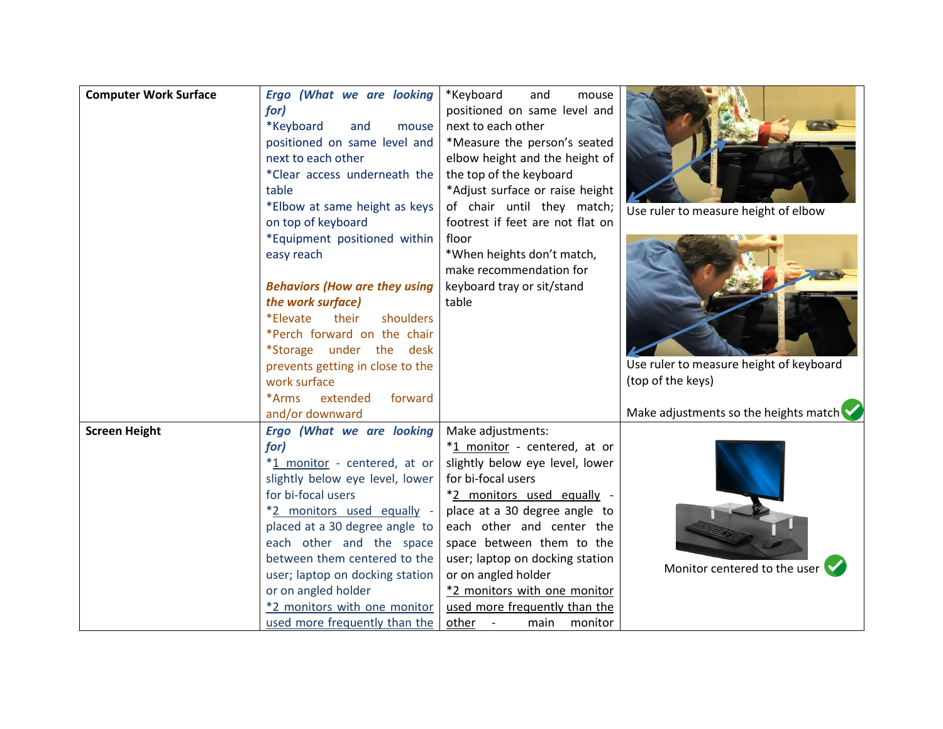| <b>Computer Work Surface</b> | Ergo (What we are looking<br>for)<br>*Keyboard<br>and<br>mouse<br>positioned on same level and<br>next to each other<br>*Clear access underneath the<br>table<br>*Elbow at same height as keys<br>on top of keyboard<br>*Equipment positioned within<br>easy reach<br><b>Behaviors (How are they using</b><br>the work surface)<br>*Elevate<br>their<br>shoulders<br>*Perch forward on the chair<br>*Storage under the desk<br>prevents getting in close to the<br>work surface<br>*Arms<br>extended<br>forward<br>and/or downward | *Keyboard<br>and<br>mouse<br>positioned on same level and<br>next to each other<br>*Measure the person's seated<br>elbow height and the height of<br>the top of the keyboard<br>*Adjust surface or raise height<br>of chair until they match;<br>footrest if feet are not flat on<br>floor<br>*When heights don't match,<br>make recommendation for<br>keyboard tray or sit/stand<br>table | Use ruler to measure height of elbow<br>Use ruler to measure height of keyboard<br>(top of the keys)<br>Make adjustments so the heights match |
|------------------------------|------------------------------------------------------------------------------------------------------------------------------------------------------------------------------------------------------------------------------------------------------------------------------------------------------------------------------------------------------------------------------------------------------------------------------------------------------------------------------------------------------------------------------------|--------------------------------------------------------------------------------------------------------------------------------------------------------------------------------------------------------------------------------------------------------------------------------------------------------------------------------------------------------------------------------------------|-----------------------------------------------------------------------------------------------------------------------------------------------|
| <b>Screen Height</b>         | Ergo (What we are looking                                                                                                                                                                                                                                                                                                                                                                                                                                                                                                          | Make adjustments:                                                                                                                                                                                                                                                                                                                                                                          |                                                                                                                                               |
|                              | for)                                                                                                                                                                                                                                                                                                                                                                                                                                                                                                                               | *1 monitor - centered, at or                                                                                                                                                                                                                                                                                                                                                               |                                                                                                                                               |
|                              | *1 monitor - centered, at or                                                                                                                                                                                                                                                                                                                                                                                                                                                                                                       |                                                                                                                                                                                                                                                                                                                                                                                            |                                                                                                                                               |
|                              |                                                                                                                                                                                                                                                                                                                                                                                                                                                                                                                                    | slightly below eye level, lower<br>for bi-focal users                                                                                                                                                                                                                                                                                                                                      |                                                                                                                                               |
|                              | slightly below eye level, lower<br>for bi-focal users                                                                                                                                                                                                                                                                                                                                                                                                                                                                              |                                                                                                                                                                                                                                                                                                                                                                                            |                                                                                                                                               |
|                              |                                                                                                                                                                                                                                                                                                                                                                                                                                                                                                                                    | *2 monitors used equally -<br>place at a 30 degree angle to                                                                                                                                                                                                                                                                                                                                |                                                                                                                                               |
|                              | *2 monitors used equally -<br>placed at a 30 degree angle to                                                                                                                                                                                                                                                                                                                                                                                                                                                                       | each other and center the                                                                                                                                                                                                                                                                                                                                                                  |                                                                                                                                               |
|                              | each other and the space                                                                                                                                                                                                                                                                                                                                                                                                                                                                                                           | space between them to the                                                                                                                                                                                                                                                                                                                                                                  |                                                                                                                                               |
|                              | between them centered to the                                                                                                                                                                                                                                                                                                                                                                                                                                                                                                       | user; laptop on docking station                                                                                                                                                                                                                                                                                                                                                            |                                                                                                                                               |
|                              | user; laptop on docking station                                                                                                                                                                                                                                                                                                                                                                                                                                                                                                    | or on angled holder                                                                                                                                                                                                                                                                                                                                                                        | Monitor centered to the user                                                                                                                  |
|                              | or on angled holder                                                                                                                                                                                                                                                                                                                                                                                                                                                                                                                | *2 monitors with one monitor                                                                                                                                                                                                                                                                                                                                                               |                                                                                                                                               |
|                              | *2 monitors with one monitor                                                                                                                                                                                                                                                                                                                                                                                                                                                                                                       | used more frequently than the                                                                                                                                                                                                                                                                                                                                                              |                                                                                                                                               |
|                              | used more frequently than the                                                                                                                                                                                                                                                                                                                                                                                                                                                                                                      | other -<br>monitor<br>main                                                                                                                                                                                                                                                                                                                                                                 |                                                                                                                                               |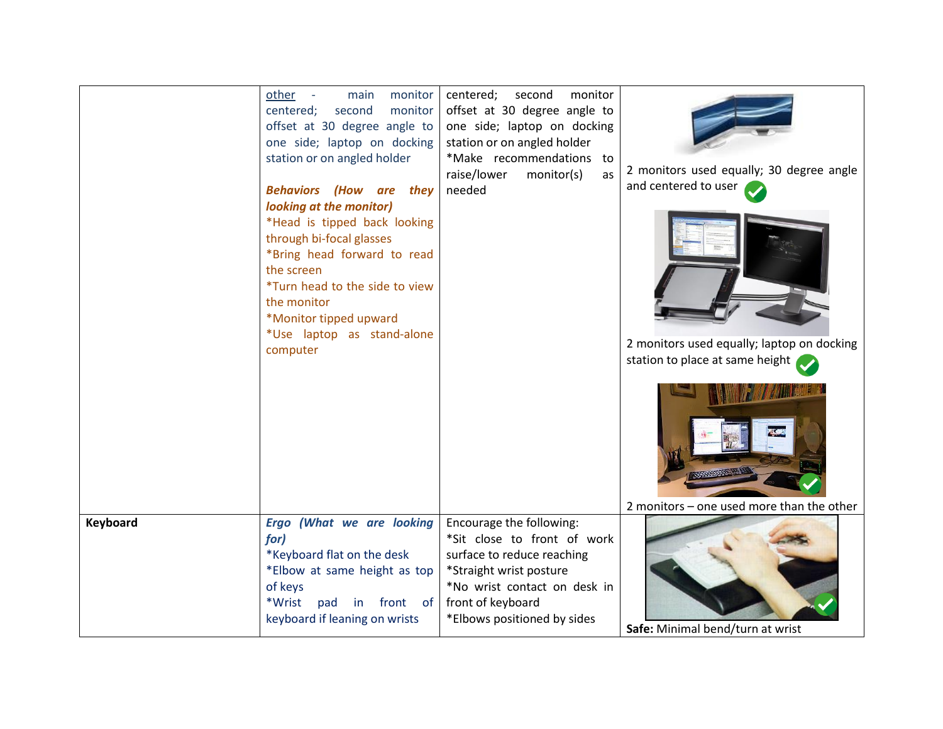|          | monitor<br>other -<br>main<br>centered;<br>second<br>monitor<br>offset at 30 degree angle to<br>one side; laptop on docking<br>station or on angled holder<br><b>Behaviors (How are they</b><br>looking at the monitor) | centered;<br>second<br>monitor<br>offset at 30 degree angle to<br>one side; laptop on docking<br>station or on angled holder<br>*Make recommendations to<br>raise/lower<br>as<br>monitor(s)<br>needed | 2 monitors used equally; 30 degree angle<br>and centered to user |
|----------|-------------------------------------------------------------------------------------------------------------------------------------------------------------------------------------------------------------------------|-------------------------------------------------------------------------------------------------------------------------------------------------------------------------------------------------------|------------------------------------------------------------------|
|          | *Head is tipped back looking<br>through bi-focal glasses<br>*Bring head forward to read<br>the screen<br>*Turn head to the side to view<br>the monitor<br>*Monitor tipped upward<br>*Use laptop as stand-alone          |                                                                                                                                                                                                       |                                                                  |
|          | computer                                                                                                                                                                                                                |                                                                                                                                                                                                       | 2 monitors used equally; laptop on docking                       |
|          |                                                                                                                                                                                                                         |                                                                                                                                                                                                       | station to place at same height                                  |
|          |                                                                                                                                                                                                                         |                                                                                                                                                                                                       | 2 monitors - one used more than the other                        |
| Keyboard | Ergo (What we are looking<br>for)<br>*Keyboard flat on the desk<br>*Elbow at same height as top<br>of keys<br>*Wrist<br>pad<br>in front of<br>keyboard if leaning on wrists                                             | Encourage the following:<br>*Sit close to front of work<br>surface to reduce reaching<br>*Straight wrist posture<br>*No wrist contact on desk in<br>front of keyboard<br>*Elbows positioned by sides  | Safe: Minimal bend/turn at wrist                                 |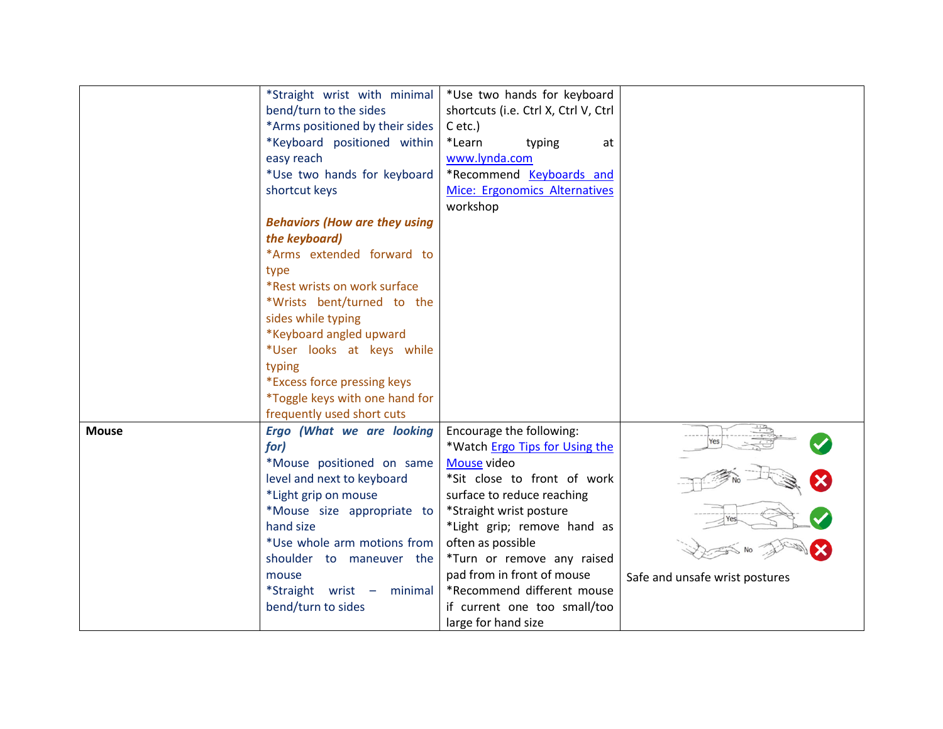|              | *Straight wrist with minimal                       | *Use two hands for keyboard          |                                |
|--------------|----------------------------------------------------|--------------------------------------|--------------------------------|
|              | bend/turn to the sides                             | shortcuts (i.e. Ctrl X, Ctrl V, Ctrl |                                |
|              | *Arms positioned by their sides                    | $C$ etc.)                            |                                |
|              | *Keyboard positioned within                        | *Learn<br>typing<br>at               |                                |
|              | easy reach                                         | www.lynda.com                        |                                |
|              | *Use two hands for keyboard                        | *Recommend Keyboards and             |                                |
|              | shortcut keys                                      | Mice: Ergonomics Alternatives        |                                |
|              |                                                    | workshop                             |                                |
|              | <b>Behaviors (How are they using</b>               |                                      |                                |
|              | the keyboard)                                      |                                      |                                |
|              | *Arms extended forward to                          |                                      |                                |
|              | type                                               |                                      |                                |
|              | *Rest wrists on work surface                       |                                      |                                |
|              | *Wrists bent/turned to the                         |                                      |                                |
|              | sides while typing                                 |                                      |                                |
|              | *Keyboard angled upward                            |                                      |                                |
|              | *User looks at keys while                          |                                      |                                |
|              | typing                                             |                                      |                                |
|              | *Excess force pressing keys                        |                                      |                                |
|              | *Toggle keys with one hand for                     |                                      |                                |
|              | frequently used short cuts                         |                                      |                                |
| <b>Mouse</b> | Ergo (What we are looking                          | Encourage the following:             |                                |
|              | for)                                               | *Watch Ergo Tips for Using the       |                                |
|              | *Mouse positioned on same                          | Mouse video                          |                                |
|              |                                                    | *Sit close to front of work          |                                |
|              | level and next to keyboard<br>*Light grip on mouse |                                      |                                |
|              |                                                    | surface to reduce reaching           |                                |
|              | *Mouse size appropriate to<br>hand size            | *Straight wrist posture              |                                |
|              | *Use whole arm motions from                        | *Light grip; remove hand as          |                                |
|              |                                                    | often as possible                    |                                |
|              | shoulder to maneuver the                           | *Turn or remove any raised           |                                |
|              | mouse                                              | pad from in front of mouse           | Safe and unsafe wrist postures |
|              | *Straight wrist $-$<br>minimal                     | *Recommend different mouse           |                                |
|              | bend/turn to sides                                 | if current one too small/too         |                                |
|              |                                                    | large for hand size                  |                                |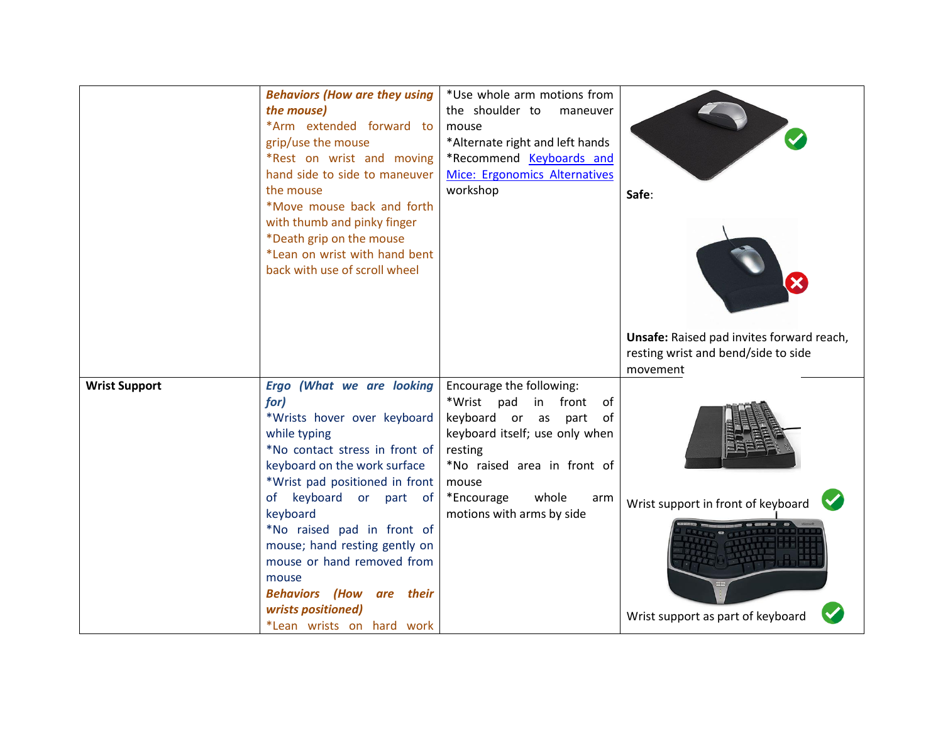|                      | <b>Behaviors (How are they using</b>                       | *Use whole arm motions from                               |                                           |
|----------------------|------------------------------------------------------------|-----------------------------------------------------------|-------------------------------------------|
|                      | the mouse)                                                 | the shoulder to<br>maneuver                               |                                           |
|                      | *Arm extended forward to                                   | mouse                                                     |                                           |
|                      | grip/use the mouse                                         | *Alternate right and left hands                           |                                           |
|                      | *Rest on wrist and moving<br>hand side to side to maneuver | *Recommend Keyboards and<br>Mice: Ergonomics Alternatives |                                           |
|                      | the mouse                                                  | workshop                                                  |                                           |
|                      | *Move mouse back and forth                                 |                                                           | Safe:                                     |
|                      | with thumb and pinky finger                                |                                                           |                                           |
|                      | *Death grip on the mouse                                   |                                                           |                                           |
|                      | *Lean on wrist with hand bent                              |                                                           |                                           |
|                      | back with use of scroll wheel                              |                                                           |                                           |
|                      |                                                            |                                                           |                                           |
|                      |                                                            |                                                           |                                           |
|                      |                                                            |                                                           |                                           |
|                      |                                                            |                                                           | Unsafe: Raised pad invites forward reach, |
|                      |                                                            |                                                           | resting wrist and bend/side to side       |
|                      |                                                            |                                                           | movement                                  |
| <b>Wrist Support</b> | Ergo (What we are looking                                  | Encourage the following:                                  |                                           |
|                      | for)                                                       | *Wrist pad<br>in front<br>of                              |                                           |
|                      | *Wrists hover over keyboard                                | keyboard or as part<br>of                                 |                                           |
|                      | while typing                                               | keyboard itself; use only when                            |                                           |
|                      | *No contact stress in front of                             | resting                                                   |                                           |
|                      | keyboard on the work surface                               | *No raised area in front of                               |                                           |
|                      | *Wrist pad positioned in front<br>of keyboard or part of   | mouse<br>*Encourage<br>whole<br>arm                       |                                           |
|                      | keyboard                                                   | motions with arms by side                                 | Wrist support in front of keyboard        |
|                      | *No raised pad in front of                                 |                                                           |                                           |
|                      | mouse; hand resting gently on                              |                                                           |                                           |
|                      | mouse or hand removed from                                 |                                                           |                                           |
|                      | mouse                                                      |                                                           |                                           |
|                      | <b>Behaviors (How are their</b>                            |                                                           |                                           |
|                      |                                                            |                                                           |                                           |
|                      | wrists positioned)                                         |                                                           | Wrist support as part of keyboard         |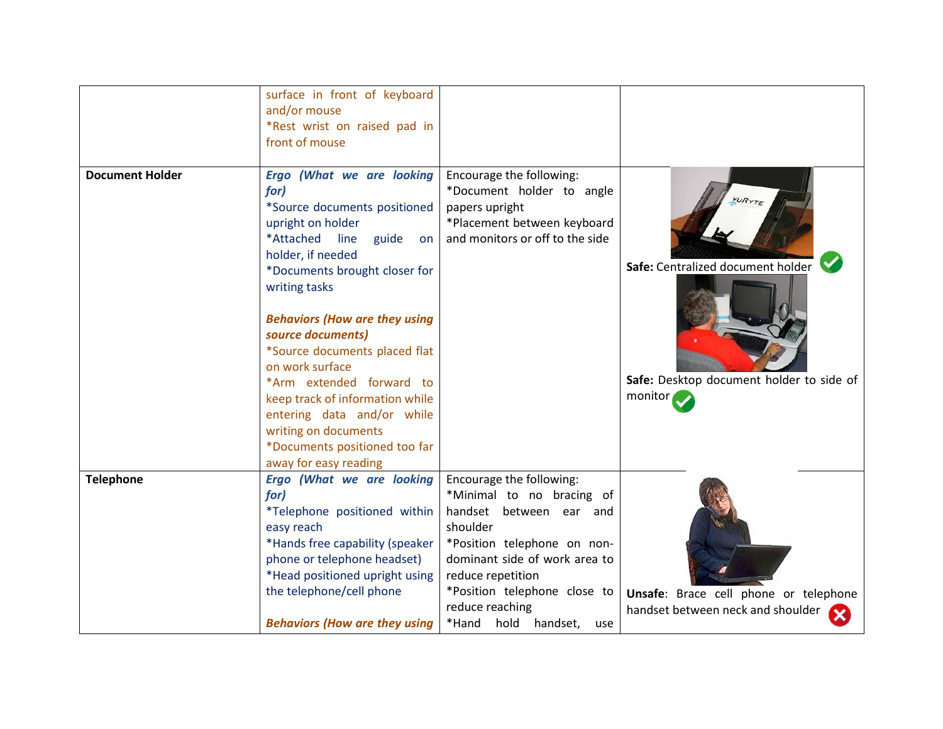|                        | surface in front of keyboard<br>and/or mouse<br>*Rest wrist on raised pad in<br>front of mouse                                                                                                                                                                                               |                                                                                                                                                                                                                                                                    |                                                                            |
|------------------------|----------------------------------------------------------------------------------------------------------------------------------------------------------------------------------------------------------------------------------------------------------------------------------------------|--------------------------------------------------------------------------------------------------------------------------------------------------------------------------------------------------------------------------------------------------------------------|----------------------------------------------------------------------------|
| <b>Document Holder</b> | Ergo (What we are looking<br>for)<br>*Source documents positioned<br>upright on holder<br>*Attached<br>line<br>guide<br>on<br>holder, if needed<br>*Documents brought closer for<br>writing tasks                                                                                            | Encourage the following:<br>*Document holder to angle<br>papers upright<br>*Placement between keyboard<br>and monitors or off to the side                                                                                                                          | Safe: Centralized document holder                                          |
|                        | <b>Behaviors (How are they using</b><br>source documents)<br>*Source documents placed flat<br>on work surface<br>*Arm extended forward to<br>keep track of information while<br>entering data and/or while<br>writing on documents<br>*Documents positioned too far<br>away for easy reading |                                                                                                                                                                                                                                                                    | Safe: Desktop document holder to side of<br>monitor                        |
| <b>Telephone</b>       | Ergo (What we are looking<br>for)<br>*Telephone positioned within<br>easy reach<br>*Hands free capability (speaker<br>phone or telephone headset)<br>*Head positioned upright using<br>the telephone/cell phone<br><b>Behaviors (How are they using</b>                                      | Encourage the following:<br>*Minimal to no bracing of<br>handset between ear and<br>shoulder<br>*Position telephone on non-<br>dominant side of work area to<br>reduce repetition<br>*Position telephone close to<br>reduce reaching<br>*Hand hold handset,<br>use | Unsafe: Brace cell phone or telephone<br>handset between neck and shoulder |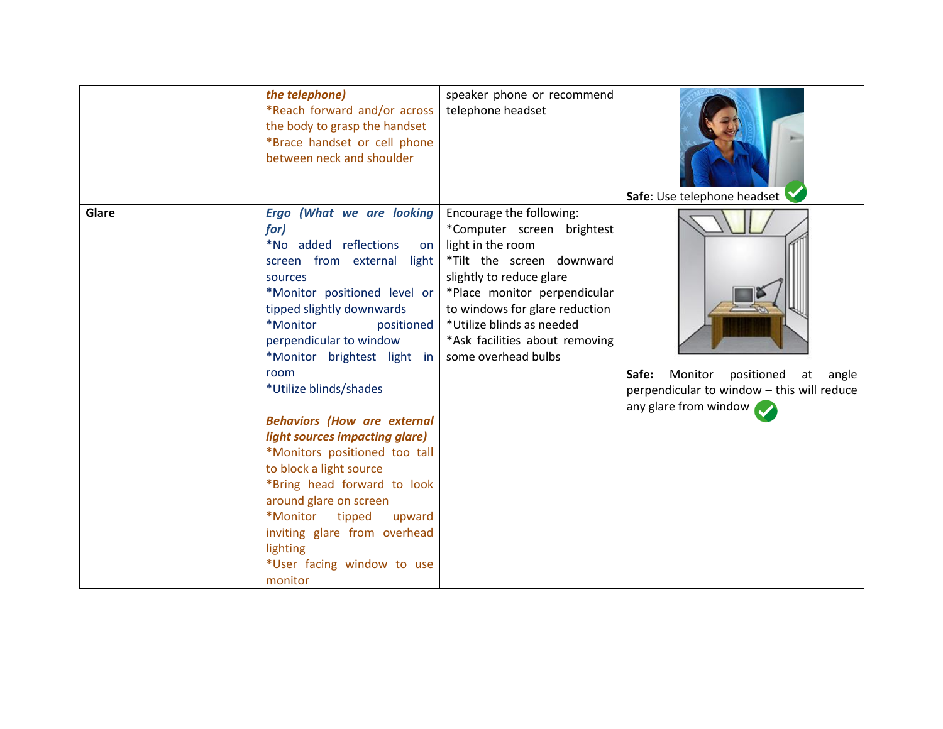|       | the telephone)                     | speaker phone or recommend     |                                            |
|-------|------------------------------------|--------------------------------|--------------------------------------------|
|       | *Reach forward and/or across       | telephone headset              |                                            |
|       | the body to grasp the handset      |                                |                                            |
|       | *Brace handset or cell phone       |                                |                                            |
|       | between neck and shoulder          |                                |                                            |
|       |                                    |                                | Safe: Use telephone headset                |
| Glare | Ergo (What we are looking          | Encourage the following:       |                                            |
|       | for)                               | *Computer screen brightest     |                                            |
|       | *No added reflections<br>on        | light in the room              |                                            |
|       | screen from external<br>light      | *Tilt the screen downward      |                                            |
|       | sources                            | slightly to reduce glare       |                                            |
|       | *Monitor positioned level or       | *Place monitor perpendicular   |                                            |
|       | tipped slightly downwards          | to windows for glare reduction |                                            |
|       | *Monitor<br>positioned             | *Utilize blinds as needed      |                                            |
|       | perpendicular to window            | *Ask facilities about removing |                                            |
|       | *Monitor brightest light in        | some overhead bulbs            |                                            |
|       | room<br>*Utilize blinds/shades     |                                | Monitor positioned<br>Safe:<br>at angle    |
|       |                                    |                                | perpendicular to window - this will reduce |
|       | <b>Behaviors (How are external</b> |                                | any glare from window                      |
|       | light sources impacting glare)     |                                |                                            |
|       | *Monitors positioned too tall      |                                |                                            |
|       | to block a light source            |                                |                                            |
|       | *Bring head forward to look        |                                |                                            |
|       | around glare on screen             |                                |                                            |
|       | *Monitor<br>tipped<br>upward       |                                |                                            |
|       | inviting glare from overhead       |                                |                                            |
|       | lighting                           |                                |                                            |
|       | *User facing window to use         |                                |                                            |
|       | monitor                            |                                |                                            |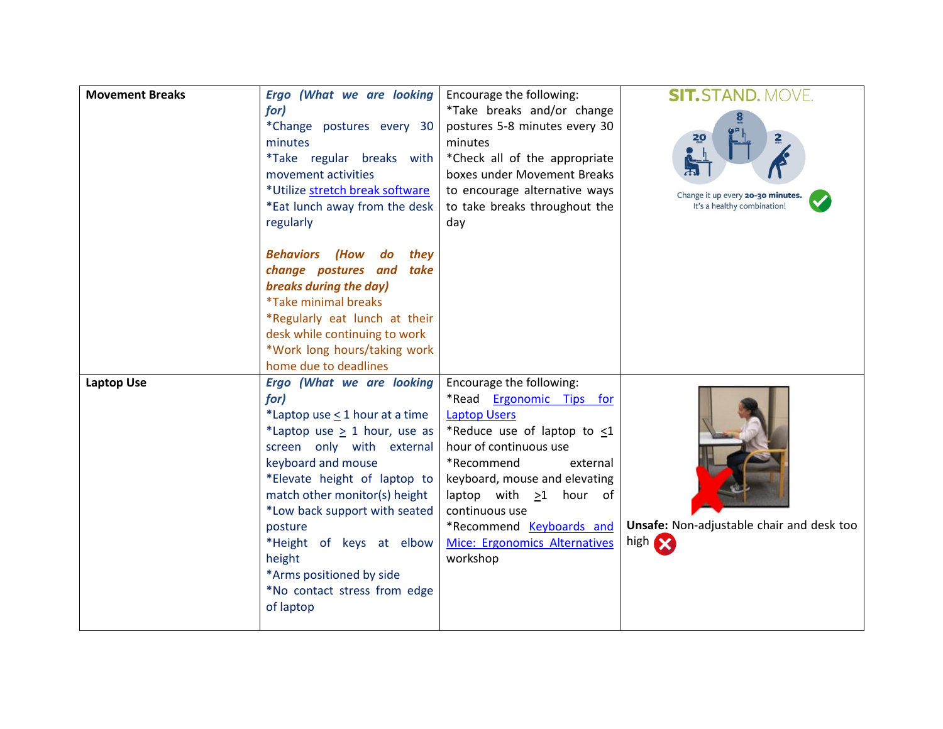| <b>Movement Breaks</b> | Ergo (What we are looking<br>for)<br>*Change postures every 30<br>minutes<br>*Take regular breaks with<br>movement activities<br>*Utilize stretch break software<br>*Eat lunch away from the desk<br>regularly<br><b>Behaviors (How</b><br>do<br>they<br>change postures and take<br>breaks during the day)<br><i>*Take minimal breaks</i><br>*Regularly eat lunch at their<br>desk while continuing to work<br>*Work long hours/taking work<br>home due to deadlines | Encourage the following:<br>*Take breaks and/or change<br>postures 5-8 minutes every 30<br>minutes<br>*Check all of the appropriate<br>boxes under Movement Breaks<br>to encourage alternative ways<br>to take breaks throughout the<br>day                                                                                      | <b>SIT.STAND. MOVE.</b><br>Change it up every 20-30 minutes.<br>It's a healthy combination! |
|------------------------|-----------------------------------------------------------------------------------------------------------------------------------------------------------------------------------------------------------------------------------------------------------------------------------------------------------------------------------------------------------------------------------------------------------------------------------------------------------------------|----------------------------------------------------------------------------------------------------------------------------------------------------------------------------------------------------------------------------------------------------------------------------------------------------------------------------------|---------------------------------------------------------------------------------------------|
| <b>Laptop Use</b>      | <b>Ergo (What we are looking</b><br>for)<br>*Laptop use < 1 hour at a time<br>*Laptop use $\geq$ 1 hour, use as<br>screen only with external<br>keyboard and mouse<br>*Elevate height of laptop to<br>match other monitor(s) height<br>*Low back support with seated<br>posture<br>*Height of keys at elbow<br>height<br>*Arms positioned by side<br>*No contact stress from edge<br>of laptop                                                                        | Encourage the following:<br>*Read Ergonomic Tips for<br><b>Laptop Users</b><br>*Reduce use of laptop to $\leq 1$<br>hour of continuous use<br>*Recommend<br>external<br>keyboard, mouse and elevating<br>laptop with $\geq 1$ hour of<br>continuous use<br>*Recommend Keyboards and<br>Mice: Ergonomics Alternatives<br>workshop | Unsafe: Non-adjustable chair and desk too<br>high <b>SX</b>                                 |